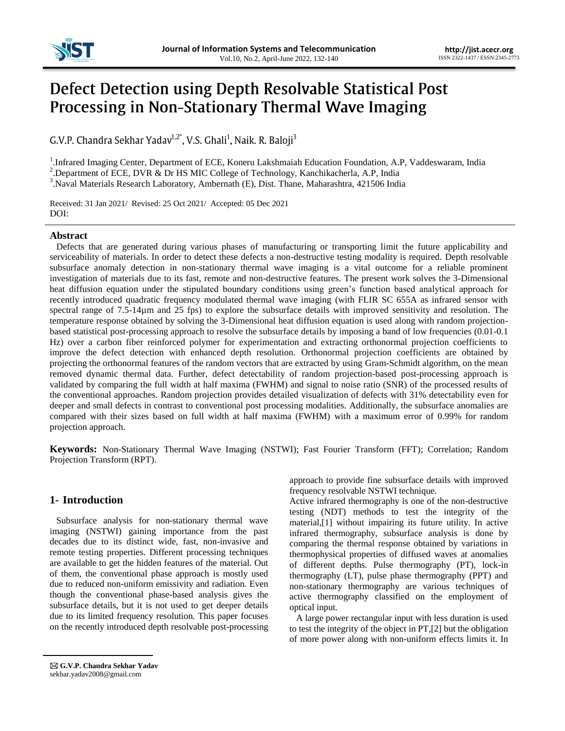

# Defect Detection using Depth Resolvable Statistical Post Processing in Non-Stationary Thermal Wave Imaging

G.V.P. Chandra Sekhar Yadav<sup>1,2\*</sup>, V.S. Ghali<sup>1</sup>, Naik. R. Baloji<sup>3</sup>

<sup>1</sup>. Infrared Imaging Center, Department of ECE, Koneru Lakshmaiah Education Foundation, A.P, Vaddeswaram, India

<sup>2</sup>. Department of ECE, DVR & Dr HS MIC College of Technology, Kanchikacherla, A.P, India

3 .Naval Materials Research Laboratory, Ambernath (E), Dist. Thane, Maharashtra, 421506 India

Received: 31 Jan 2021/ Revised: 25 Oct 2021/ Accepted: 05 Dec 2021 DOI:

## **Abstract**

Defects that are generated during various phases of manufacturing or transporting limit the future applicability and serviceability of materials. In order to detect these defects a non-destructive testing modality is required. Depth resolvable subsurface anomaly detection in non-stationary thermal wave imaging is a vital outcome for a reliable prominent investigation of materials due to its fast, remote and non-destructive features. The present work solves the 3-Dimensional heat diffusion equation under the stipulated boundary conditions using green's function based analytical approach for recently introduced quadratic frequency modulated thermal wave imaging (with FLIR SC 655A as infrared sensor with spectral range of 7.5-14µm and 25 fps) to explore the subsurface details with improved sensitivity and resolution. The temperature response obtained by solving the 3-Dimensional heat diffusion equation is used along with random projectionbased statistical post-processing approach to resolve the subsurface details by imposing a band of low frequencies (0.01-0.1 Hz) over a carbon fiber reinforced polymer for experimentation and extracting orthonormal projection coefficients to improve the defect detection with enhanced depth resolution. Orthonormal projection coefficients are obtained by projecting the orthonormal features of the random vectors that are extracted by using Gram-Schmidt algorithm, on the mean removed dynamic thermal data. Further, defect detectability of random projection-based post-processing approach is validated by comparing the full width at half maxima (FWHM) and signal to noise ratio (SNR) of the processed results of the conventional approaches. Random projection provides detailed visualization of defects with 31% detectability even for deeper and small defects in contrast to conventional post processing modalities. Additionally, the subsurface anomalies are compared with their sizes based on full width at half maxima (FWHM) with a maximum error of 0.99% for random projection approach.

**Keywords:** Non-Stationary Thermal Wave Imaging (NSTWI); Fast Fourier Transform (FFT); Correlation; Random Projection Transform (RPT).

## **1- Introduction**

Subsurface analysis for non-stationary thermal wave imaging (NSTWI) gaining importance from the past decades due to its distinct wide, fast, non-invasive and remote testing properties. Different processing techniques are available to get the hidden features of the material. Out of them, the conventional phase approach is mostly used due to reduced non-uniform emissivity and radiation. Even though the conventional phase-based analysis gives the subsurface details, but it is not used to get deeper details due to its limited frequency resolution. This paper focuses on the recently introduced depth resolvable post-processing

 **G.V.P. Chandra Sekhar Yadav** sekhar.yadav2008@gmail.com

approach to provide fine subsurface details with improved frequency resolvable NSTWI technique.

Active infrared thermography is one of the non-destructive testing (NDT) methods to test the integrity of the material,[1] without impairing its future utility. In active infrared thermography, subsurface analysis is done by comparing the thermal response obtained by variations in thermophysical properties of diffused waves at anomalies of different depths. Pulse thermography (PT), lock-in thermography (LT), pulse phase thermography (PPT) and non-stationary thermography are various techniques of active thermography classified on the employment of optical input.

A large power rectangular input with less duration is used to test the integrity of the object in PT,[2] but the obligation of more power along with non-uniform effects limits it. In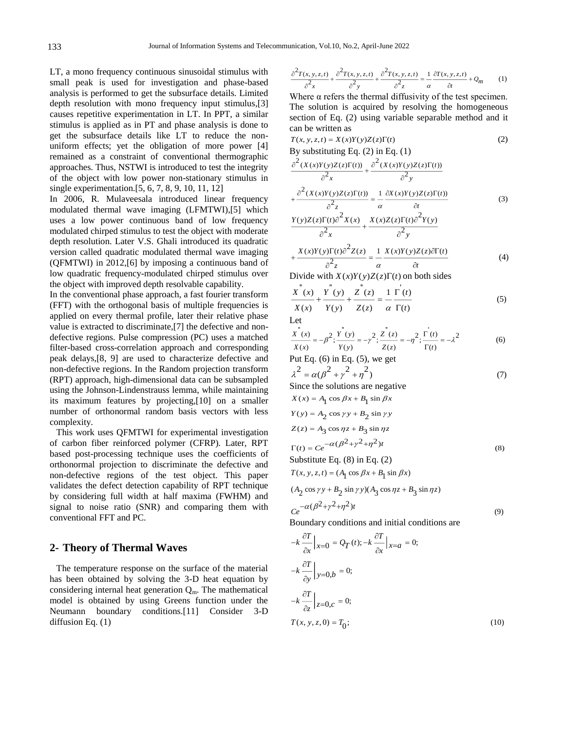LT, a mono frequency continuous sinusoidal stimulus with small peak is used for investigation and phase-based analysis is performed to get the subsurface details. Limited depth resolution with mono frequency input stimulus,[3] causes repetitive experimentation in LT. In PPT, a similar stimulus is applied as in PT and phase analysis is done to get the subsurface details like LT to reduce the nonuniform effects; yet the obligation of more power [4] remained as a constraint of conventional thermographic approaches. Thus, NSTWI is introduced to test the integrity of the object with low power non-stationary stimulus in single experimentation.[5, 6, 7, 8, 9, 10, 11, 12]

In 2006, R. Mulaveesala introduced linear frequency modulated thermal wave imaging (LFMTWI),[5] which uses a low power continuous band of low frequency modulated chirped stimulus to test the object with moderate depth resolution. Later V.S. Ghali introduced its quadratic version called quadratic modulated thermal wave imaging (QFMTWI) in 2012,[6] by imposing a continuous band of low quadratic frequency-modulated chirped stimulus over the object with improved depth resolvable capability.

In the conventional phase approach, a fast fourier transform (FFT) with the orthogonal basis of multiple frequencies is applied on every thermal profile, later their relative phase value is extracted to discriminate,[7] the defective and nondefective regions. Pulse compression (PC) uses a matched filter-based cross-correlation approach and corresponding peak delays,[8, 9] are used to characterize defective and non-defective regions. In the Random projection transform (RPT) approach, high-dimensional data can be subsampled using the Johnson-Lindenstrauss lemma, while maintaining its maximum features by projecting,[10] on a smaller number of orthonormal random basis vectors with less complexity.

This work uses QFMTWI for experimental investigation of carbon fiber reinforced polymer (CFRP). Later, RPT based post-processing technique uses the coefficients of orthonormal projection to discriminate the defective and non-defective regions of the test object. This paper validates the defect detection capability of RPT technique by considering full width at half maxima (FWHM) and signal to noise ratio (SNR) and comparing them with conventional FFT and PC.

## **2- Theory of Thermal Waves**

The temperature response on the surface of the material has been obtained by solving the 3-D heat equation by considering internal heat generation  $Q_m$ . The mathematical model is obtained by using Greens function under the Neumann boundary conditions.[11] Consider 3-D diffusion Eq.  $(1)$ 

$$
\frac{\partial^2 T(x, y, z, t)}{\partial^2 x} + \frac{\partial^2 T(x, y, z, t)}{\partial^2 y} + \frac{\partial^2 T(x, y, z, t)}{\partial^2 z} = \frac{1}{\alpha} \frac{\partial T(x, y, z, t)}{\partial t} + Q_m \tag{1}
$$

Where  $\alpha$  refers the thermal diffusivity of the test specimen. The solution is acquired by resolving the homogeneous section of Eq. (2) using variable separable method and it can be written as

$$
T(x, y, z, t) = X(x)Y(y)Z(z)\Gamma(t)
$$
\n(2)  
\nBy substituting Eq. (2) in Eq. (1)  
\n
$$
\frac{\partial^2 (X(x)Y(y)Z(z)\Gamma(t))}{\partial^2 (X(x)Y(y)Z(z)\Gamma(t))}
$$

$$
\frac{\partial^2 x}{\partial x^2} + \frac{\partial^2 (X(x)Y(y)Z(z)\Gamma(t))}{\partial^2 y} = \frac{1}{2} \frac{\partial X(x)Y(y)Z(z)\Gamma(t)}{\partial^2} \tag{3}
$$

$$
\frac{\partial^2 z}{\partial x^2} \frac{\alpha}{\partial x^2} + \frac{\partial^2 z}{\partial x \partial y^2} \left( \frac{\partial^2 z}{\partial y^2} + \frac{X(x)Z(z)\Gamma(t)\partial^2 Y(y)}{\partial^2 y} \right)
$$

$$
+\frac{X(x)Y(y)\Gamma(t)\partial^2 Z(z)}{\partial^2 z} = \frac{1}{\alpha} \frac{X(x)Y(y)Z(z)\partial \Gamma(t)}{\partial t}
$$
(4)

Divide with  $X(x)Y(y)Z(z)\Gamma(t)$  on both sides

$$
\frac{X^{''}(x)}{X(x)} + \frac{Y^{''}(y)}{Y(y)} + \frac{Z^{''}(z)}{Z(z)} = \frac{1}{\alpha} \frac{\Gamma^{'}(t)}{\Gamma(t)}
$$
(5)

Let

$$
\frac{x^{n}(x)}{X(x)} = -\beta^{2}; \frac{Y^{n}(y)}{Y(y)} = -\gamma^{2}; \frac{Z^{n}(z)}{Z(z)} = -\eta^{2}; \frac{\Gamma^{'}(t)}{\Gamma(t)} = -\lambda^{2}
$$
(6)

Put Eq.  $(6)$  in Eq.  $(5)$ , we get

$$
\lambda^{2} = \alpha(\beta^{2} + \gamma^{2} + \eta^{2})
$$
  
Since the solutions are negative

Since the solutions are negative

$$
X(x) = A_1 \cos \beta x + B_1 \sin \beta x
$$
  
\n
$$
Y(y) = A_2 \cos \gamma y + B_2 \sin \gamma y
$$
  
\n
$$
Z(z) = A_3 \cos \eta z + B_3 \sin \eta z
$$
  
\n
$$
\Gamma(t) = Ce^{-\alpha (\beta^2 + \gamma^2 + \eta^2)t}
$$
\n(8)

Substitute Eq. (8) in Eq. (2)

$$
T(x, y, z, t) = (A_1 \cos \beta x + B_1 \sin \beta x)
$$
  
\n
$$
(A_2 \cos \gamma y + B_2 \sin \gamma y)(A_3 \cos \eta z + B_3 \sin \eta z)
$$
  
\n
$$
Ce^{-\alpha(\beta^2 + \gamma^2 + \eta^2)t}
$$
\n(9)

(9)

Boundary conditions and initial conditions are

$$
-k \frac{\partial T}{\partial x} \Big|_{x=0} = Q_T(t); -k \frac{\partial T}{\partial x} \Big|_{x=a} = 0;
$$
  

$$
-k \frac{\partial T}{\partial y} \Big|_{y=0,b} = 0;
$$
  

$$
-k \frac{\partial T}{\partial z} \Big|_{z=0,c} = 0;
$$
  

$$
T(x, y, z, 0) = T_0;
$$
 (10)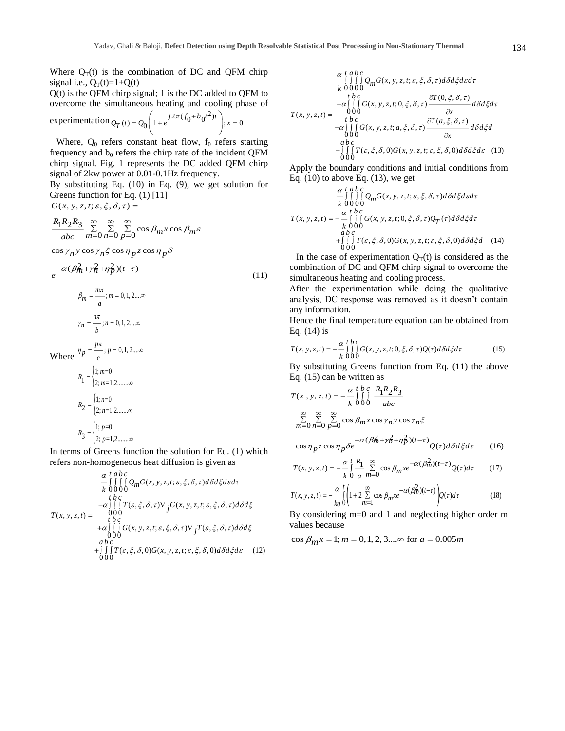Where  $Q_T(t)$  is the combination of DC and QFM chirp signal i.e.,  $Q_T(t)=1+Q(t)$ 

Q(t) is the QFM chirp signal; 1 is the DC added to QFM to overcome the simultaneous heating and cooling phase of

experimentation 
$$
Q_T(t) = Q_0 \left( 1 + e^{j2\pi (f_0 + b_0 t^2)t} \right); x = 0
$$

Where,  $Q_0$  refers constant heat flow,  $f_0$  refers starting frequency and  $b_0$  refers the chirp rate of the incident QFM chirp signal. Fig. 1 represents the DC added QFM chirp signal of 2kw power at 0.01-0.1Hz frequency.

By substituting Eq. (10) in Eq. (9), we get solution for Greens function for Eq. (1) [11]

 $G(x, y, z, t; \varepsilon, \xi, \delta, \tau) =$ 

$$
\frac{R_1 R_2 R_3}{abc} \sum_{m=0}^{\infty} \sum_{n=0}^{\infty} \sum_{p=0}^{\infty} \cos \beta_m x \cos \beta_m \varepsilon
$$

 $\cos\gamma_n y \cos\gamma_n \xi \cos\eta_p z \cos\eta_p \delta$ 

$$
e^{-\alpha(\beta_{m}^{2} + \gamma_{n}^{2} + \eta_{p}^{2})(t-\tau)}
$$
\n
$$
\beta_{m} = \frac{m\pi}{a}; m = 0, 1, 2 \dots \infty
$$
\n
$$
\gamma_{n} = \frac{n\pi}{b}; n = 0, 1, 2 \dots \infty
$$
\n(11)

Where 
$$
\eta_p = \frac{p\pi}{c}; p = 0, 1, 2... \infty
$$

$$
R_1 = \begin{cases} 1; m=0\\ 2; m=1, 2... \infty \end{cases}
$$

$$
R_2 = \begin{cases} 1; n=0\\ 2; n=1, 2... \infty \end{cases}
$$

$$
R_3 = \begin{cases} 1; p=0\\ 2; p=1, 2... \infty \end{cases}
$$

In terms of Greens function the solution for Eq. (1) which refers non-homogeneous heat diffusion is given as

$$
\alpha \t\t\begin{array}{l}\n\alpha \t\t\begin{array}{l}\n\alpha \t\t\end{array} & \begin{array}{l}\n\alpha \t\t\end{array} & \begin{array}{l}\n\alpha \end{array} & \begin{array}{l}\n\alpha \end{array} & \begin{array}{l}\n\alpha \end{array} & \begin{array}{l}\n\alpha \end{array} & \begin{array}{l}\n\alpha \end{array} & \begin{array}{l}\n\alpha \end{array} & \begin{array}{l}\n\alpha \end{array} & \begin{array}{l}\n\alpha \end{array} & \begin{array}{l}\n\alpha \end{array} & \begin{array}{l}\n\alpha \end{array} & \begin{array}{l}\n\alpha \end{array} & \begin{array}{l}\n\alpha \end{array} & \begin{array}{l}\n\alpha \end{array} & \begin{array}{l}\n\alpha \end{array} & \begin{array}{l}\n\alpha \end{array} & \begin{array}{l}\n\alpha \end{array} & \begin{array}{l}\n\alpha \end{array} & \begin{array}{l}\n\alpha \end{array} & \begin{array}{l}\n\alpha \end{array} & \begin{array}{l}\n\alpha \end{array} & \begin{array}{l}\n\alpha \end{array} & \begin{array}{l}\n\alpha \end{array} & \begin{array}{l}\n\alpha \end{array} & \begin{array}{l}\n\alpha \end{array} & \begin{array}{l}\n\alpha \end{array} & \begin{array}{l}\n\alpha \end{array} & \begin{array}{l}\n\alpha \end{array} & \begin{array}{l}\n\alpha \end{array} & \begin{array}{l}\n\alpha \end{array} & \begin{array}{l}\n\alpha \end{array} & \begin{array}{l}\n\alpha \end{array} & \begin{array}{l}\n\alpha \end{array} & \begin{array}{l}\n\alpha \end{array} & \begin{array}{l}\n\alpha \end{array} & \begin{array}{l}\n\alpha \end{array} & \begin{array}{l}\n\alpha \end{array} & \begin{array}{l}\n\alpha \end{array} & \begin{array}{l}\n\alpha \end{array} & \begin{array}{l}\n\alpha \end{array} &
$$

$$
\alpha t \, ab \, c
$$
\n
$$
= \iiint_{k}^{R} \iint_{\Omega} Q_{m}G(x, y, z, t; \varepsilon, \xi, \delta, \tau) d\delta d\xi d\varepsilon d\tau
$$
\n
$$
= \iint_{\Omega} \iint_{\Omega} G(x, y, z, t; 0, \xi, \delta, \tau) \frac{\partial T(0, \xi, \delta, \tau)}{\partial x} d\delta d\xi d\tau
$$
\n
$$
T(x, y, z, t) = \n\begin{array}{c}\n000 \\
\text{if } b \, c \\
-\alpha \iiint_{\Omega} G(x, y, z, t; a, \xi, \delta, \tau) \frac{\partial T(a, \xi, \delta, \tau)}{\partial x} d\delta d\xi d \\
000 \\
abc \\
\text{if } f \in \mathcal{F}, \xi, \delta, 0, G(x, y, z, t; \varepsilon, \xi, \delta, 0) d\delta d\xi d\varepsilon\n\end{array} (13)
$$

Apply the boundary conditions and initial conditions from Eq.  $(10)$  to above Eq.  $(13)$ , we get

$$
\alpha \, t \, ab \, c
$$
\n
$$
- \iiint_{k} 0 \, 00 \, 0
$$
\n
$$
T(x, y, z, t) = -\frac{\alpha}{\mu} \iint_{0}^{t} G(x, y, z, t; \varepsilon, \xi, \delta, \tau) d\delta d\xi d\varepsilon
$$
\n
$$
T(x, y, z, t) = -\frac{\alpha}{\mu} \iint_{0}^{t} G(x, y, z, t; 0, \xi, \delta, \tau) Q_{T}(\tau) d\delta d\xi d\tau
$$
\n
$$
+ \iiint_{0}^{t} T(\varepsilon, \xi, \delta, 0) G(x, y, z, t; \varepsilon, \xi, \delta, 0) d\delta d\xi d \quad (14)
$$

In the case of experimentation  $Q_T(t)$  is considered as the combination of DC and QFM chirp signal to overcome the simultaneous heating and cooling process.

After the experimentation while doing the qualitative analysis, DC response was removed as it doesn't contain any information.

Hence the final temperature equation can be obtained from Eq. (14) is

$$
T(x, y, z, t) = -\frac{\alpha}{k} \int_{0}^{t} \int_{0}^{L} G(x, y, z, t; 0, \xi, \delta, \tau) Q(\tau) d\delta d\xi d\tau
$$
 (15)

By substituting Greens function from Eq. (11) the above Eq. (15) can be written as

$$
T(x, y, z, t) = -\frac{\alpha}{k} \int_{R}^{t} \int_{0}^{L} \frac{R_{1}R_{2}R_{3}}{abc}
$$
  

$$
\sum_{m=0}^{\infty} \sum_{n=0}^{\infty} \sum_{p=0}^{\infty} \cos \beta_{m} x \cos \gamma_{n} y \cos \gamma_{n} \xi
$$

$$
\cos \eta_p z \cos \eta_p \delta e^{-\alpha (pm + n + r)p / (1 - r)} Q(\tau) d\delta d\xi d\tau \qquad (16)
$$

$$
T(x, y, z, t) = -\frac{\alpha}{k} \int_{0}^{t} \frac{R_1}{a} \sum_{m=0}^{\infty} \cos \beta_m x e^{-\alpha (\beta_m^2)(t-\tau)} Q(\tau) d\tau
$$
 (17)

$$
T(x, y, z, t) = -\frac{\alpha}{ka} \int_{0}^{t} \left( 1 + 2 \sum_{m=1}^{\infty} \cos \beta_m x e^{-\alpha (\beta_m^2)(t-\tau)} \right) Q(\tau) d\tau
$$
 (18)

By considering m=0 and 1 and neglecting higher order m values because

 $\cos \beta_m x = 1; m = 0, 1, 2, 3...$  for  $a = 0.005 m$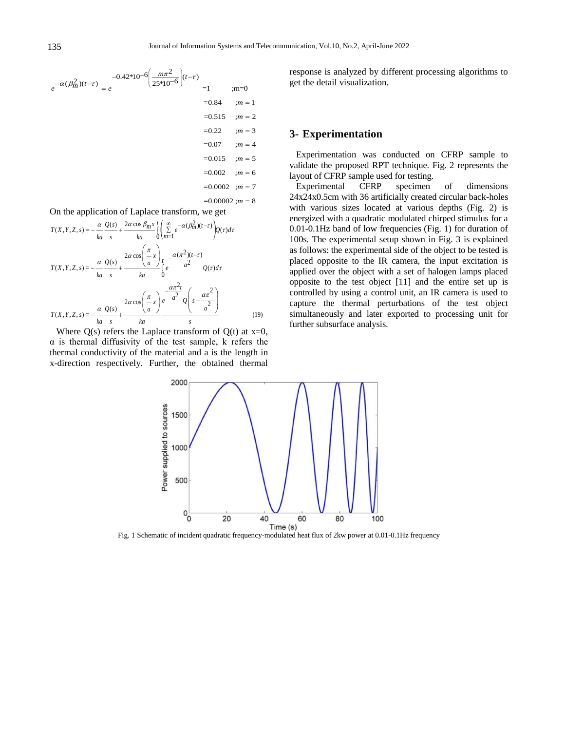

On the application of Laplace transform, we get

$$
T(X,Y,Z,s) = -\frac{\alpha}{ka} \frac{Q(s)}{s} + \frac{2\alpha \cos \beta_m x}{ka} \int_{0}^{t} \left( \sum_{m=1}^{\infty} e^{-\alpha (\beta_m^2)(t-\tau)} \right) Q(\tau) d\tau
$$

$$
T(X,Y,Z,s) = -\frac{\alpha}{ka} \frac{Q(s)}{s} + \frac{2\alpha \cos \left( \frac{\pi}{a} x \right)}{ka} \int_{0}^{\infty} e^{-\alpha (\frac{\pi}{a^2})(t-\tau)} Q(\tau) d\tau
$$

$$
T(X,Y,Z,s) = -\frac{\alpha}{ka} \frac{Q(s)}{s} + \frac{2\alpha \cos \left( \frac{\pi}{a} x \right)}{ka} e^{-\frac{\alpha \pi^2 t}{a^2}} Q\left(s - \frac{\alpha \pi^2}{a^2}\right)
$$

$$
T(X,Y,Z,s) = -\frac{\alpha}{ka} \frac{Q(s)}{s} + \frac{2\alpha \cos \left( \frac{\pi}{a} x \right)}{ka} \frac{e^{-\alpha \frac{\pi^2 t}{a^2}} Q\left(s - \frac{\alpha \pi^2}{a^2}\right)}{s}
$$
(19)

Where  $Q(s)$  refers the Laplace transform of  $Q(t)$  at  $x=0$ ,  $\alpha$  is thermal diffusivity of the test sample, k refers the thermal conductivity of the material and a is the length in x-direction respectively. Further, the obtained thermal response is analyzed by different processing algorithms to get the detail visualization.

#### **3- Experimentation**

Experimentation was conducted on CFRP sample to validate the proposed RPT technique. Fig. 2 represents the layout of CFRP sample used for testing.

Experimental CFRP specimen of dimensions 24x24x0.5cm with 36 artificially created circular back-holes with various sizes located at various depths (Fig. 2) is energized with a quadratic modulated chirped stimulus for a 0.01-0.1Hz band of low frequencies (Fig. 1) for duration of 100s. The experimental setup shown in Fig. 3 is explained as follows: the experimental side of the object to be tested is placed opposite to the IR camera, the input excitation is applied over the object with a set of halogen lamps placed opposite to the test object [11] and the entire set up is controlled by using a control unit, an IR camera is used to capture the thermal perturbations of the test object simultaneously and later exported to processing unit for further subsurface analysis.



Fig. 1 Schematic of incident quadratic frequency-modulated heat flux of 2kw power at 0.01-0.1Hz frequency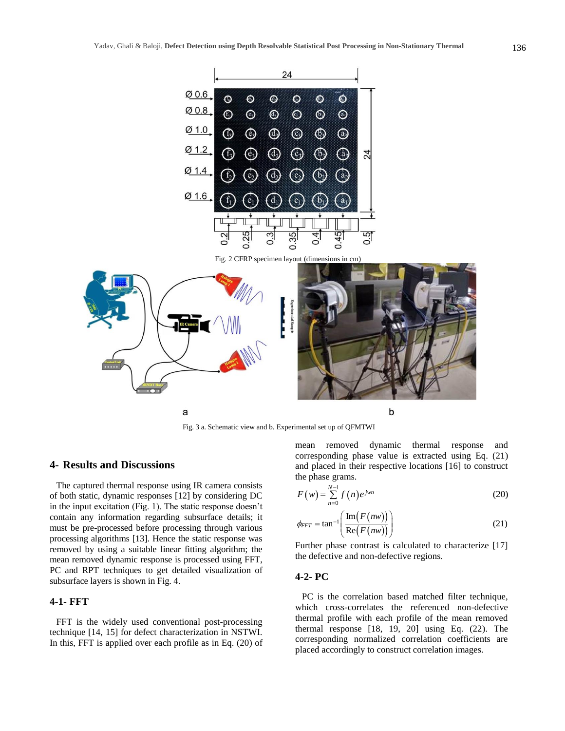

## **4- Results and Discussions**

The captured thermal response using IR camera consists of both static, dynamic responses [12] by considering DC in the input excitation (Fig. 1). The static response doesn't contain any information regarding subsurface details; it must be pre-processed before processing through various processing algorithms [13]. Hence the static response was removed by using a suitable linear fitting algorithm; the mean removed dynamic response is processed using FFT, PC and RPT techniques to get detailed visualization of subsurface layers is shown in Fig. 4.

## **4-1- FFT**

FFT is the widely used conventional post-processing technique [14, 15] for defect characterization in NSTWI. In this, FFT is applied over each profile as in Eq. (20) of mean removed dynamic thermal response and corresponding phase value is extracted using Eq. (21) and placed in their respective locations [16] to construct the phase grams.

$$
F(w) = \sum_{n=0}^{N-1} f(n) e^{jwn}
$$
 (20)

$$
\phi_{FFT} = \tan^{-1} \left( \frac{\text{Im}(F(nw))}{\text{Re}(F(nw))} \right)
$$
 (21)

Further phase contrast is calculated to characterize [17] the defective and non-defective regions.

#### **4-2- PC**

PC is the correlation based matched filter technique, which cross-correlates the referenced non-defective thermal profile with each profile of the mean removed thermal response [18, 19, 20] using Eq. (22). The corresponding normalized correlation coefficients are placed accordingly to construct correlation images.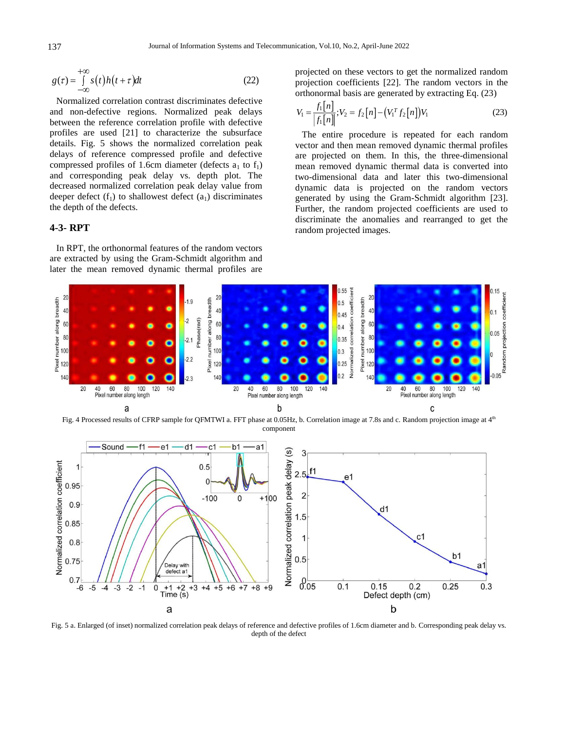$$
g(\tau) = \int_{-\infty}^{+\infty} s(t)h(t+\tau)dt
$$
 (22)

Normalized correlation contrast discriminates defective and non-defective regions. Normalized peak delays between the reference correlation profile with defective profiles are used [21] to characterize the subsurface details. Fig. 5 shows the normalized correlation peak delays of reference compressed profile and defective compressed profiles of 1.6cm diameter (defects  $a_1$  to  $f_1$ ) and corresponding peak delay vs. depth plot. The decreased normalized correlation peak delay value from deeper defect  $(f_1)$  to shallowest defect  $(a_1)$  discriminates the depth of the defects.

## **4-3- RPT**

In RPT, the orthonormal features of the random vectors are extracted by using the Gram-Schmidt algorithm and later the mean removed dynamic thermal profiles are projected on these vectors to get the normalized random projection coefficients [22]. The random vectors in the orthonormal basis are generated by extracting Eq. (23)

$$
V_1 = \frac{f_1[n]}{|f_1[n]|}; V_2 = f_2[n] - (V_1^T f_2[n])V_1
$$
\n(23)

The entire procedure is repeated for each random vector and then mean removed dynamic thermal profiles are projected on them. In this, the three-dimensional mean removed dynamic thermal data is converted into two-dimensional data and later this two-dimensional dynamic data is projected on the random vectors generated by using the Gram-Schmidt algorithm [23]. Further, the random projected coefficients are used to discriminate the anomalies and rearranged to get the random projected images.



Fig. 4 Processed results of CFRP sample for QFMTWI a. FFT phase at 0.05Hz, b. Correlation image at 7.8s and c. Random projection image at 4<sup>th</sup> component



Fig. 5 a. Enlarged (of inset) normalized correlation peak delays of reference and defective profiles of 1.6cm diameter and b. Corresponding peak delay vs. depth of the defect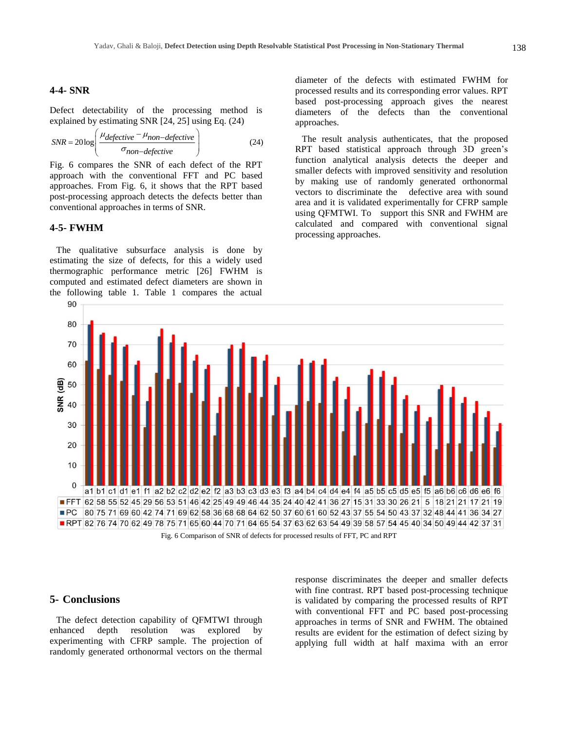#### **4-4- SNR**

Defect detectability of the processing method is explained by estimating SNR [24, 25] using Eq. (24)

$$
SNR = 20\log\left(\frac{\mu_{defective} - \mu_{non-defective}}{\sigma_{non-defective}}\right)
$$
 (24)

Fig. 6 compares the SNR of each defect of the RPT approach with the conventional FFT and PC based approaches. From Fig. 6, it shows that the RPT based post-processing approach detects the defects better than conventional approaches in terms of SNR.

## **4-5- FWHM**

The qualitative subsurface analysis is done by estimating the size of defects, for this a widely used thermographic performance metric [26] FWHM is computed and estimated defect diameters are shown in the following table 1. Table 1 compares the actual

diameter of the defects with estimated FWHM for processed results and its corresponding error values. RPT based post-processing approach gives the nearest diameters of the defects than the conventional approaches.

The result analysis authenticates, that the proposed RPT based statistical approach through 3D green's function analytical analysis detects the deeper and smaller defects with improved sensitivity and resolution by making use of randomly generated orthonormal vectors to discriminate the defective area with sound area and it is validated experimentally for CFRP sample using QFMTWI. To support this SNR and FWHM are calculated and compared with conventional signal processing approaches.



## **5- Conclusions**

The defect detection capability of QFMTWI through enhanced depth resolution was explored by experimenting with CFRP sample. The projection of randomly generated orthonormal vectors on the thermal response discriminates the deeper and smaller defects with fine contrast. RPT based post-processing technique is validated by comparing the processed results of RPT with conventional FFT and PC based post-processing approaches in terms of SNR and FWHM. The obtained results are evident for the estimation of defect sizing by applying full width at half maxima with an error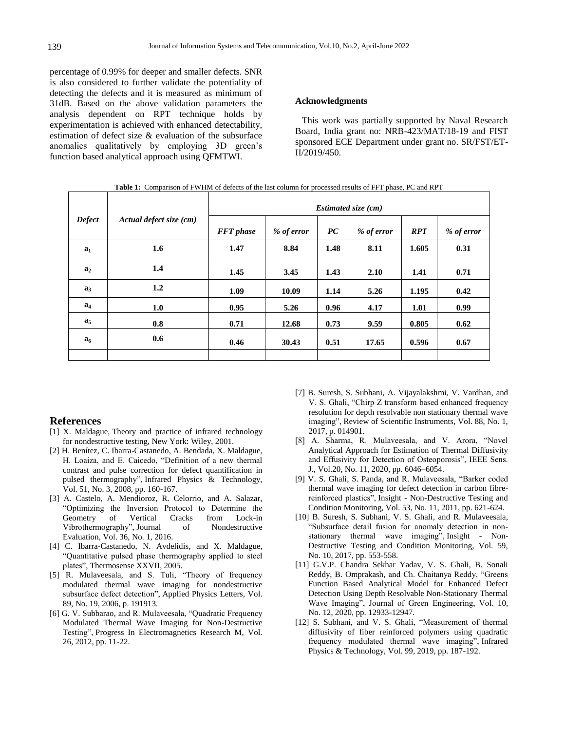percentage of 0.99% for deeper and smaller defects. SNR is also considered to further validate the potentiality of detecting the defects and it is measured as minimum of 31dB. Based on the above validation parameters the analysis dependent on RPT technique holds by experimentation is achieved with enhanced detectability, estimation of defect size & evaluation of the subsurface anomalies qualitatively by employing 3D green's function based analytical approach using QFMTWI.

#### **Acknowledgments**

This work was partially supported by Naval Research Board, India grant no: NRB-423/MAT/18-19 and FIST sponsored ECE Department under grant no. SR/FST/ET-II/2019/450.

| <b>Tuble 1.</b> Comparison of F (Tritter of defects of the not column for processed results of FF F phase, FC and RF F |                         |                     |            |      |            |            |            |
|------------------------------------------------------------------------------------------------------------------------|-------------------------|---------------------|------------|------|------------|------------|------------|
| <b>Defect</b>                                                                                                          | Actual defect size (cm) | Estimated size (cm) |            |      |            |            |            |
|                                                                                                                        |                         | <b>FFT</b> phase    | % of error | PC   | % of error | <b>RPT</b> | % of error |
| a <sub>1</sub>                                                                                                         | 1.6                     | 1.47                | 8.84       | 1.48 | 8.11       | 1.605      | 0.31       |
| a <sub>2</sub>                                                                                                         | 1.4                     | 1.45                | 3.45       | 1.43 | 2.10       | 1.41       | 0.71       |
| a <sub>3</sub>                                                                                                         | 1.2                     | 1.09                | 10.09      | 1.14 | 5.26       | 1.195      | 0.42       |
| $a_4$                                                                                                                  | 1.0                     | 0.95                | 5.26       | 0.96 | 4.17       | 1.01       | 0.99       |
| a <sub>5</sub>                                                                                                         | 0.8                     | 0.71                | 12.68      | 0.73 | 9.59       | 0.805      | 0.62       |
| $a_6$                                                                                                                  | 0.6                     | 0.46                | 30.43      | 0.51 | 17.65      | 0.596      | 0.67       |
|                                                                                                                        |                         |                     |            |      |            |            |            |

**Table 1:** Comparison of FWHM of defects of the last column for processed results of FFT phase, PC and RPT

## **References**

- [1] X. Maldague, Theory and practice of infrared technology for nondestructive testing, New York: Wiley, 2001.
- [2] H. Benítez, C. Ibarra-Castanedo, A. Bendada, X. Maldague, H. Loaiza, and E. Caicedo, "Definition of a new thermal contrast and pulse correction for defect quantification in pulsed thermography", Infrared Physics & Technology, Vol. 51, No. 3, 2008, pp. 160-167.
- [3] A. Castelo, A. Mendioroz, R. Celorrio, and A. Salazar, "Optimizing the Inversion Protocol to Determine the Geometry of Vertical Cracks from Lock-in Vibrothermography", Journal of Nondestructive Evaluation, Vol. 36, No. 1, 2016.
- [4] C. Ibarra-Castanedo, N. Avdelidis, and X. Maldague, "Quantitative pulsed phase thermography applied to steel plates", Thermosense XXVII, 2005.
- [5] R. Mulaveesala, and S. Tuli, "Theory of frequency modulated thermal wave imaging for nondestructive subsurface defect detection", Applied Physics Letters, Vol. 89, No. 19, 2006, p. 191913.
- [6] G. V. Subbarao, and R. Mulaveesala, "Quadratic Frequency Modulated Thermal Wave Imaging for Non-Destructive Testing", Progress In Electromagnetics Research M, Vol. 26, 2012, pp. 11-22.
- [7] B. Suresh, S. Subhani, A. Vijayalakshmi, V. Vardhan, and V. S. Ghali, "Chirp Z transform based enhanced frequency resolution for depth resolvable non stationary thermal wave imaging", Review of Scientific Instruments, Vol. 88, No. 1, 2017, p. 014901.
- [8] A. Sharma, R. Mulaveesala, and V. Arora, "Novel Analytical Approach for Estimation of Thermal Diffusivity and Effusivity for Detection of Osteoporosis", IEEE Sens. J., Vol.20, No. 11, 2020, pp. 6046–6054.
- [9] V. S. Ghali, S. Panda, and R. Mulaveesala, "Barker coded thermal wave imaging for defect detection in carbon fibrereinforced plastics", Insight - Non-Destructive Testing and Condition Monitoring, Vol. 53, No. 11, 2011, pp. 621-624.
- [10] B. Suresh, S. Subhani, V. S. Ghali, and R. Mulaveesala, "Subsurface detail fusion for anomaly detection in nonstationary thermal wave imaging", Insight - Non-Destructive Testing and Condition Monitoring, Vol. 59, No. 10, 2017, pp. 553-558.
- [11] G.V.P. Chandra Sekhar Yadav, V. S. Ghali, B. Sonali Reddy, B. Omprakash, and Ch. Chaitanya Reddy, "Greens Function Based Analytical Model for Enhanced Defect Detection Using Depth Resolvable Non-Stationary Thermal Wave Imaging", Journal of Green Engineering, Vol. 10, No. 12, 2020, pp. 12933-12947.
- [12] S. Subhani, and V. S. Ghali, "Measurement of thermal diffusivity of fiber reinforced polymers using quadratic frequency modulated thermal wave imaging", Infrared Physics & Technology, Vol. 99, 2019, pp. 187-192.